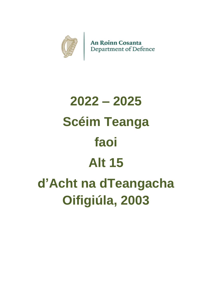

# **2022 – 2025 Scéim Teanga faoi Alt 15 d'Acht na dTeangacha Oifigiúla, 2003**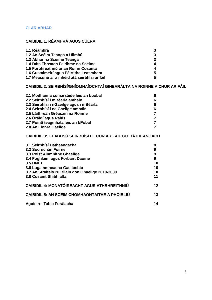# **CLÁR ÁBHAR**

## **CAIBIDIL 1: RÉAMHRÁ AGUS CÚLRA**

| 1.1 Réamhrá                                  | 3  |
|----------------------------------------------|----|
| 1.2 An Scéim Teanga a Ullmhú                 | 3  |
| 1.3 Ábhar na Scéime Teanga                   | 3  |
| 1.4 Dáta Thosach Feidhme na Scéime           | 4  |
| 1.5 Forbhreathnú ar an Roinn Cosanta         | 4  |
| 1.6 Custaiméirí agus Páirtithe Leasmhara     | 5  |
| 1.7 Measúnú ar a mhéid atá seirbhísí ar fáil | 5. |

# **CAIBIDIL 2: SEIRBHÍSÍ/GNÍOMHAÍOCHTAÍ GINEARÁLTA NA ROINNE A CHUR AR FÁIL**

| 2.1 Modhanna cumarsáide leis an bpobal  | 6 |
|-----------------------------------------|---|
| 2.2 Seirbhísí i mBéarla amháin          | 6 |
| 2.3 Seirbhísí i nGaeilge agus i mBéarla | 6 |
| 2.4 Seirbhísí i na Gaeilge amháin       | 6 |
| 2.5 Láithreán Gréasáin na Roinne        |   |
| 2.6 Óráidí agus Ráitis                  |   |
| 2.7 Pointí teagmhála leis an bPobal     |   |
| 2.8 An Líonra Gaeilge                   |   |
|                                         |   |

# **CAIBIDIL 3: FEABHSÚ SEIRBHÍSÍ LE CUR AR FÁIL GO DÁTHEANGACH**

| 3.1 Seirbhísí Dátheangacha                            | 8  |
|-------------------------------------------------------|----|
| 3.2 Socrúchán Foirne                                  | 9  |
| 3.3 Poist Ainmnithe Ghaeilge                          | 9  |
| 3.4 Foghlaim agus Forbairt Daoine                     | 9  |
| <b>3.5 DNET</b>                                       | 10 |
| 3.6 Logainmneacha Gaeltachta                          | 10 |
| 3.7 An Straitéis 20 Bliain don Ghaeilge 2010-2030     | 10 |
| 3.8 Cosaint Shibhialta                                | 11 |
| CAIBIDIL 4: MONATÓIREACHT AGUS ATHBHREITHNIÚ          | 12 |
| <b>CAIBIDIL 5: AN SCÉIM CHOMHAONTAITHE A PHOIBLIÚ</b> | 13 |
| Aguisín - Tábla Forálacha                             | 14 |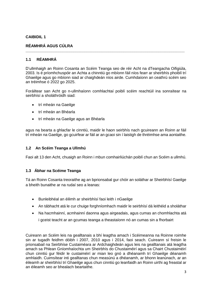#### **RÉAMHRÁ AGUS CÚLRA**

#### **1.1 RÉAMHRÁ**

D'ullmhaigh an Roinn Cosanta an Scéim Teanga seo de réir Acht na dTeangacha Oifigiúla, 2003. Is é príomhchuspóir an Achta a chinntiú go mbíonn fáil níos fearr ar sheirbhís phoiblí trí Ghaeilge agus go mbíonn siad ar chaighdeán níos airde. Cumhdaíonn an ceathrú scéim seo an tréimhse ó 2022 go 2025.

**\_\_\_\_\_\_\_\_\_\_\_\_\_\_\_\_\_\_\_\_\_\_\_\_\_\_\_\_\_\_\_\_\_\_\_\_\_\_\_\_\_\_\_\_\_\_\_\_\_\_\_\_\_\_\_\_\_\_\_\_\_\_\_\_\_\_\_\_\_\_\_\_\_**

Foráiltear san Acht go n-ullmhaíonn comhlachtaí poiblí scéim reachtúil ina sonraítear na seirbhísí a sholáthróidh siad:

- trí mheán na Gaeilge
- trí mheán an Bhéarla
- trí mheán na Gaeilge agus an Bhéarla

agus na bearta a ghlacfar le cinntiú, maidir le haon seirbhís nach gcuireann an Roinn ar fáil trí mheán na Gaeilge, go gcuirfear ar fáil ar an gcaoi sin í laistigh de thréimhse ama aontaithe.

#### **1.2 An Scéim Teanga a Ullmhú**

Faoi alt 13 den Acht, chuaigh an Roinn i mbun comhairliúchán poiblí chun an Scéim a ullmhú.

#### **1.3 Ábhar na Scéime Teanga**

Tá an Roinn Cosanta treoraithe ag an bprionsabal gur chóir an soláthar ar Sheirbhísí Gaeilge a bheith bunaithe ar na rudaí seo a leanas:

- Bunleibhéal an éilimh ar sheirbhísí faoi leith i nGaeilge
- An tábhacht atá le cur chuige forghníomhach maidir le seirbhísí dá leithéid a sholáthar
- Na hacmhainní, acmhainní daonna agus airgeadais, agus cumas an chomhlachta atá i gceist teacht ar an gcumas teanga a theastaíonn nó an cumas sin a fhorbairt

Cuireann an Scéim leis na gealltanais a bhí leagtha amach i Scéimeanna na Roinne roimhe sin ar tugadh feidhm dóibh i 2007, 2010 agus i 2014, faoi seach. Cuireann sí freisin le prionsabail na Seirbhíse Custaiméara ar Ardchaighdeán agus leis na gealltanais atá leagtha amach sa Phlean Gníomhaíochta um Sheirbhís do Chustaiméirí agus sa Chairt Chustaiméirí chun cinntiú gur féidir le custaiméirí ar mian leo gnó a dhéanamh trí Ghaeilge déanamh amhlaidh. Cuimsítear inti gealltanas chun measúnú a dhéanamh, ar bhonn leanúnach, ar an éileamh ar sheirbhísí trí Ghaeilge agus chun cinntiú go leanfaidh an Roinn uirthi ag freastal ar an éileamh seo ar bhealach beartaithe.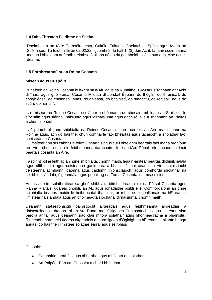#### **1.4 Dáta Thosach Feidhme na Scéime**

Dheimhnigh an tAire Turasóireachta, Cultúir, Ealaíon, Gaeltachta, Spóirt agus Meán an Scéim seo. Tá feidhm léi ón 02.02.22 i gcomhréir le halt 14(3) den Acht, fanann scéimeanna teanga i bhfeidhm ar feadh tréimhse 3 bliana nó go dtí go mbeidh scéim nua ann, cibé acu is déanaí.

#### **1.5 Forbhreathnú ar an Roinn Cosanta**

#### **Misean agus Cuspóirí**

Bunaíodh an Roinn Cosanta le hAcht na n-Airí agus na Rúnaithe, 1924 agus sannann an tAcht di "riara agus gnó Fórsaí Cosanta Mileata Shaorstáit Éireann do thógáil, do thréineáil, do chóghléasa, do choinneáil suas, do ghléasa, do bhainistí, do smachtú, do regleáil, agus do stiúrú do réir dlí".

Is é misean na Roinne Cosanta soláthar a dhéanamh do chosaint mhíleata an Stáit, cur le síocháin agus slándáil náisiúnta agus idirnáisiúnta agus gach ról eile a shannann an Rialtas a chomhlíonadh.

Is é príomhról ghné shibhialta na Roinne Cosanta chun tacú leis an Aire mar cheann na Roinne agus, ach go háirithe, chun comhairle faoi bheartas agus tacaíocht a sholáthar faoi cheisteanna Cosanta.

Cuimsítear ann sin cabhrú le foirmiú beartais agus cur i bhfeidhm beartais faoi mar a ordaíonn an tAire, chomh maith le feidhmeanna riaracháin. Is é an tArd-Rúnaí príomhchomhairleoir beartais cosanta an Aire.

Tá roinnt róil ar leith ag an ngné shibhialta, chomh maith, lena n-áirítear beartas dlíthiúil, rialála agus dlíthíochta agus ceisteanna gaolmhara a bhainistiú thar ceann an Aire; bainistíocht ceisteanna acmhainní daonna agus caidrimh thionsclaíoch; agus comhordú sholáthar na seirbhísí slándála, éigeandála agus pobail ag na Fórsaí Cosanta ina measc siúd.

Anuas air sin, soláthraítear sa ghné shibhialta idirchaidreamh idir na Fórsaí Cosanta agus Ranna Rialtais, údaráis phoiblí, an AE agus ionadaithe poiblí eile. Comhordaíonn an ghné shibhialta beartas maidir le hoibríochtaí thar lear, ar mhaithe le gealltanais na hÉireann i limistéar na slándála agus an choimeádta síochána idirnáisiúnta, chomh maith.

Déanann státseirbhísigh bainistíocht airgeadais agus feidhmeanna airgeadais a dhíscaoileadh i dtaobh ról an Ard-Rúnaí mar Oifigeach Cuntasaíochta agus cuireann siad párolla ar fáil agus déanann siad cláir mhóra soláthair agus bhonneagracha a bhainistiú. Rinneadh mórmhéid údarás airgeadais a tharmligean d'Óglaigh na hÉireann le blianta beaga anuas, go háirithe i limistéar soláthar earraí agus seirbhísí.

Cuspóirí:

- Comhairle thráthúil agus ábhartha agus mhíleata a sholáthar
- An Páipéar Bán um Chosaint a chur i bhfeidhm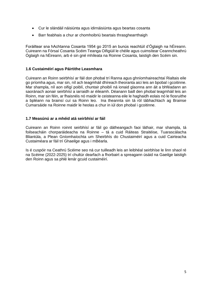- Cur le slándáil náisiúnta agus idirnáisiúnta agus beartas cosanta
- Barr feabhais a chur ar chomhoibriú beartais thrasghearrthaigh

Foráiltear sna hAchtanna Cosanta 1954 go 2015 an bunús reachtúil d'Óglaigh na hÉireann. Cuireann na Fórsaí Cosanta Scéim Teanga Oifigiúil le chéile agus cuimsítear Ceanncheathrú Óglaigh na hÉireann, arb é sin gné mhíleata na Roinne Cosanta, laistigh den Scéim sin.

#### **1.6 Custaiméirí agus Páirtithe Leasmhara**

Cuireann an Roinn seirbhísí ar fáil don phobal trí Ranna agus ghníomhaireachtaí Rialtais eile go príomha agus, mar sin, níl ach teagmháil dhíreach theoranta aici leis an bpobal i gcoitinne. Mar shampla, níl aon oifigí poiblí, chuntair phoiblí ná ionaid glaonna ann áit a bhféadann an saoránach aonair seirbhísí a iarraidh ar éileamh. Déanann baill den phobal teagmháil leis an Roinn, mar sin féin, ar fhaisnéis nó maidir le ceisteanna eile le haghaidh eolais nó le fiosruithe a bpléann na brainsí cuí sa Roinn leo. Ina theannta sin tá ról tábhachtach ag Brainse Cumarsáide na Roinne maidir le heolas a chur in iúl don phobal i gcoitinne.

#### **1.7 Measúnú ar a mhéid atá seirbhísí ar fáil**

Cuireann an Roinn roinnt seirbhísí ar fáil go dátheangach faoi láthair, mar shampla, tá foilseacháin chorparáideacha na Roinne – tá a cuid Ráiteas Straitéise, Tuarascálacha Bliantúla, a Plean Gníomhaíochta um Sheirbhís do Chustaiméirí agus a cuid Cairteacha Custaiméara ar fáil trí Ghaeilge agus i mBéarla.

Is é cuspóir na Ceathrú Scéime seo ná cur tuilleadh leis an leibhéal seirbhíse le linn shaol ré na Scéime (2022-2025) trí chultúr dearfach a fhorbairt a spreagann úsáid na Gaeilge laistigh den Roinn agus sa phlé lenár gcuid custaiméirí.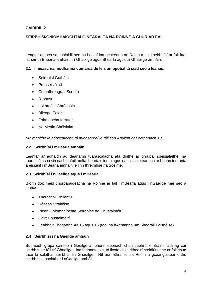#### **SEIRBHÍSÍ/GNÍOMHAÍOCHTAÍ GINEARÁLTA NA ROINNE A CHUR AR FÁIL**

Leagtar amach sa chaibidil seo na bealaí ina gcuireann an Roinn a cuid seirbhísí ar fáil faoi láthair trí Bhéarla amháin, trí Ghaeilge agus Bhéarla agus trí Ghaeilge amháin.

**\_\_\_\_\_\_\_\_\_\_\_\_\_\_\_\_\_\_\_\_\_\_\_\_\_\_\_\_\_\_\_\_\_\_\_\_\_\_\_\_\_\_\_\_\_\_\_\_\_\_\_\_\_\_\_\_\_\_\_\_\_\_\_\_\_\_\_\_\_\_\_\_\_**

#### **2.1 I measc na modhanna cumarsáide leis an bpobal tá siad seo a leanas:**

- Seirbhísí Gutháin
- Preaseisiúintí
- Comhfhreagras Scríofa
- R-phost
- Láithreáin Ghréasáin
- Bileoga Eolais
- Foirmeacha Iarratais
- Na Meáin Shóisialta

\**Ar mhaithe le héascaíocht, tá mionsonraí le fáil san Aguisín ar Leathanach 13.*

#### **2.2 Seirbhísí i mBéarla amháin**

Leanfar ar aghaidh ag déanamh tuarascálacha atá dírithe ar ghrúpaí speisialaithe, na tuarascálacha sin nach bhfuil moltaí beartais iontu agus nach scaiptear ach ar bhonn teoranta a eisiúint i mBéarla amháin le linn thréimhse na Scéime.

#### **2.3 Seirbhísí i nGaeilge agus i mBéarla**

Bíonn doiciméid chorparáideacha na Roinne ar fáil i mBéarla agus i nGaeilge mar seo a leanas:-

- Tuarascáil Bhliantúil
- Ráiteas Straitéise
- Plean Gníomhaíochta Seirbhíse do Chustaiméirí
- Cairt Chustaiméirí
- Leabhair Thagartha Alt 15 agus 16 (faoi na hAchtanna um Shaoráil Faisnéise)

#### **2.4 Seirbhísí i na Gaeilge amháin**

Bunaíodh grúpa cainteoirí Gaeilge ar bhonn deonach chun cabhrú le Brainsí atá ag cur seirbhísí ar fáil trí Ghaeilge. Ina theannta sin, tá liosta d'aistritheoirí creidiúnaithe ar fáil chun tacú le soláthar seirbhísí trí Ghaeilge. Níl aon Bhrainsí sa Roinn a gceanglaítear orthu seirbhísí a sholáthar i nGaeilge amháin.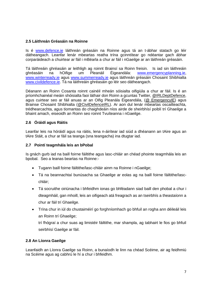#### **2.5 Láithreán Gréasáin na Roinne**

Is é www.defence.ie láithreán gréasáin na Roinne agus tá an t-ábhar statach go léir dátheangach. Leanfar lenár mbeartas reatha trína gcinntítear go ndéantar gach ábhar corparáideach a chuirtear ar fáil i mBéarla a chur ar fáil i nGaeilge ar an láithreán gréasáin.

Tá láithreáin ghréasáin ar leithligh ag roinnt Brainsí sa Roinn freisin. Is iad sin láithreáin ghréasáin na hOifige um Pleanáil Éigeandála: www.emergencyplanning.ie, www.winterready.ie agus www.summerready.ie agus láithreán gréasáin Chosaint Shibhialta www.civildefence.ie. Tá na láithreáin ghréasáin go léir seo dátheangach.

Déanann an Roinn Cosanta roinnt cainéil mheán sóisialta oifigiúla a chur ar fáil. Is é an príomhchainéal meáin shóisialta faoi láthair don Roinn a gcuntas Twitter, @IRLDeptDefence, agus cuirtear seo ar fáil anuas ar an Oifig Pleanála Éigeandála, (@ EmergencylE) agus Brainse Chosaint Shibhialta (@CivilDefenceIRL). Ar aon dul lenár mbeartas oscailteachta, trédhearcachta, agus tiomantas do chaighdeáin níos airde de sheirbhísí poiblí trí Ghaeilge a bhaint amach, eiseoidh an Roinn seo roinnt Tvuíteanna i nGaeilge.

#### **2.6 Óráidí agus Ráitis**

Leanfar leis na hóráidí agus na ráitis, lena n-áirítear iad siúd a dhéanann an tAire agus an tAire Stáit, a chur ar fáil sa teanga (sna teangacha) ina dtugtar iad.

#### **2.7 Pointí teagmhála leis an bPobal**

Is gnách gurb iad na baill foirne fáiltithe agus lasc-chláir an chéad phointe teagmhála leis an bpobal. Seo a leanas beartas na Roinne:-

- Tugann baill foirne fáiltithe/lasc-chláir ainm na Roinne i nGaeilge;
- Tá na beannachtaí bunúsacha sa Ghaeilge ar eolas ag na baill foirne fáiltithe/lascchláir;
- Tá socruithe oiriúnacha i bhfeidhm ionas go bhféadann siad baill den phobal a chur i dteagmháil, gan mhoill, leis an oifigeach atá freagrach as an tseirbhís a theastaíonn a chur ar fáil trí Ghaeilge.
- Trína chur in iúl do chustaiméirí go forghníomhach go bhfuil an rogha ann déileáil leis an Roinn trí Ghaeilge;

trí fhógraí a chur suas ag limistéir fáiltithe, mar shampla, ag tabhairt le fios go bhfuil seirbhísí Gaeilge ar fáil.

#### **2.8 An Líonra Gaeilge**

Leanfaidh an Líonra Gaeilge sa Roinn, a bunaíodh le linn na chéad Scéime, air ag feidhmiú na Scéime agus ag cabhrú le hí a chur i bhfeidhm.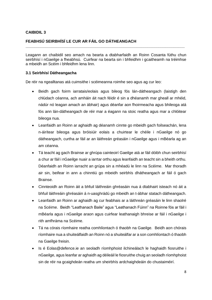#### **FEABHSÚ SEIRBHÍSÍ LE CUR AR FÁIL GO DÁTHEANGACH**

Leagann an chaibidil seo amach na bearta a dtabharfaidh an Roinn Cosanta fúthu chun seirbhísí i nGaeilge a fheabhsú. Cuirfear na bearta sin i bhfeidhm i gcaitheamh na tréimhse a mbeidh an Scéim i bhfeidhm lena linn.

**\_\_\_\_\_\_\_\_\_\_\_\_\_\_\_\_\_\_\_\_\_\_\_\_\_\_\_\_\_\_\_\_\_\_\_\_\_\_\_\_\_\_\_\_\_\_\_\_\_\_\_\_\_\_\_\_\_\_\_\_\_\_\_\_\_\_\_\_\_\_\_\_\_**

#### **3.1 Seirbhísí Dátheangacha**

De réir na ngealltanas atá cuimsithe i scéimeanna roimhe seo agus ag cur leo:

- Beidh gach foirm iarratais/eolais agus bileog fós lán-dátheangach (laistigh den chlúdach céanna, ach amháin áit nach féidir é sin a dhéanamh mar gheall ar mhéid, nádúr nó leagan amach an ábhair) agus déanfar aon fhoirmeacha agus bhileoga atá fós ann lán-dátheangach de réir mar a éagann na stoic reatha agus mar a chlóitear bileoga nua.
- Leanfaidh an Roinn ar aghaidh ag déanamh cinnte go mbeidh gach foilseachán, lena n-áirítear bileoga agus bróisiúir eolais a chuirtear le chéile i nGaeilge nó go dátheangach, curtha ar fáil ar an láithreán gréasáin i nGaeilge agus i mBéarla ag an am céanna.
- Tá teacht ag gach Brainse ar ghrúpa cainteoirí Gaeilge atá ar fáil dóibh chun seirbhísí a chur ar fáil i nGaeilge nuair a iarrtar orthu agus leanfaidh an teacht sin a bheith orthu. Déanfaidh an Roinn iarracht an grúpa sin a mhéadú le linn na Scéime. Mar thoradh air sin, beifear in ann a chinntiú go mbeidh seirbhís dhátheangach ar fáil ó gach Brainse.
- Cinnteoidh an Roinn áit a bhfuil láithreáin ghréasáin nua á dtabhairt isteach nó áit a bhfuil láithreáin ghréasáin á n-uasghrádú go mbeidh an t-ábhar statach dátheangach.
- Leanfaidh an Roinn ar aghaidh ag cur feabhais ar a láithreán gréasáin le linn shaolré na Scéime. Beidh "Leathanach Baile" agus "Leathanach Fúinn" na Roinne fós ar fáil i mBéarla agus i nGaeilge araon agus cuirfear leathanaigh bhreise ar fáil i nGaeilge i rith amfhráma na Scéime.
- Tá na córais ríomhaire reatha comhlíontach ó thaobh na Gaeilge. Beidh aon chórais ríomhaire nua a shuiteálfaidh an Roinn nó a shuiteálfar ar a son comhlíontach ó thaobh na Gaeilge freisin.
- Is é Eolas@defence.ie an seoladh ríomhphoist ilchineálach le haghaidh fiosruithe i nGaeilge, agus leanfar ar aghaidh ag déileáil le fiosruithe chuig an seoladh ríomhphoist sin de réir na gcaighdeán reatha um sheirbhís ardchaighdeáin do chustaiméirí.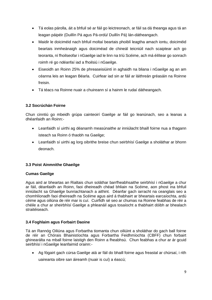- Tá eolas párolla, áit a bhfuil sé ar fáil go leictreonach, ar fáil sa dá theanga agus tá an leagan páipéir (Duillín Pá agus Pá-ordú/ Duillín Pá) lán-dátheangach.
- Maidir le doiciméid nach bhfuil moltaí beartais phoiblí leagtha amach iontu, doiciméid beartais inmheánaigh agus doiciméad de chineál teicniúil nach scaiptear ach go teoranta, ní fhoilseofar i nGaeilge iad le linn na tríú Scéime, ach má éilítear go sonrach roimh ré go ndéanfaí iad a fhoilsiú i nGaeilge.
- Eiseoidh an Roinn 25% de phreaseisiúintí in aghaidh na bliana i nGaeilge ag an am céanna leis an leagan Béarla. Cuirfear iad sin ar fáil ar láithreán gréasáin na Roinne freisin.
- Tá téacs na Roinne nuair a chuireann sí a hainm le rudaí dátheangach.

#### **3.2 Socrúchán Foirne**

Chun cinntiú go mbeidh grúpa cainteoirí Gaeilge ar fáil go leanúnach, seo a leanas a dhéanfaidh an Roinn:-

- Leanfaidh sí uirthi ag déanamh measúnaithe ar inniúlacht bhaill foirne nua a thagann isteach sa Roinn ó thaobh na Gaeilge;
- Leanfaidh sí uirthi ag lorg oibrithe breise chun seirbhísí Gaeilge a sholáthar ar bhonn deonach.

#### **3.3 Poist Ainmnithe Ghaeilge**

#### **Cumas Gaeilge**

Agus aird ar bheartas an Rialtais chun soláthar barrfheabhsaithe seirbhísí i nGaeilge a chur ar fáil, déanfaidh an Roinn, faoi dheireadh chéad bhliain na Scéime, aon phost ina bhfuil inniúlacht sa Ghaeilge bunriachtanach a aithint. Déanfar gach iarracht na ceanglais seo a chomhlíonadh faoi dheireadh na Scéime agus aird á thabhairt ar bheartais earcaíochta, ardú céime agus oiliúna de réir mar is cuí. Cuirfidh sé seo ar chumas na Roinne feabhas de réir a chéile a chur ar sheirbhísí Gaeilge a phleanáil agus tosaíocht a thabhairt dóibh ar bhealach straitéiseach.

#### **3.4 Foghlaim agus Forbairt Daoine**

Tá an Rannóg Oiliúna agus Forbartha tiomanta chun oiliúint a sholáthar do gach ball foirne de réir an Chórais Bhainistíochta agus Forbartha Feidhmíochta (CBFF) chun forbairt ghinearálta na mball foirne laistigh den Roinn a fheabhsú. Chun feabhas a chur ar ár gcuid seirbhísí i nGaeilge leanfaimid orainn:-

 Ag fógairt gach cúrsa Gaeilge atá ar fáil do bhaill foirne agus freastal ar chúrsaí, i rith uaireanta oibre san áireamh (nuair is cuí) a éascú;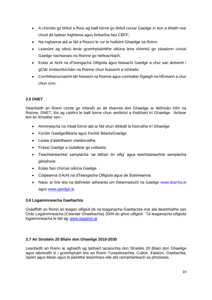- A chinntiú go bhfuil a fhios ag baill foirne go bhfuil cúrsaí Gaeilge in ann a bheith mar chuid dá bplean foghlama agus forbartha faoi CBFF;
- Na roghanna atá ar fáil a fhiosrú le cur le hoiliúint Ghaeilge sa Roinn;
- Leanúint ag oibriú lenár gcomhpháirtithe oiliúna lena chinntiú go sásaíonn cúrsaí Gaeilge riachtanais na Roinne go héifeachtach;
- Eolas ar Acht na dTeangacha Oifigiúla agus feasacht Gaeilge a chur san áireamh i gClár Ionduchtúcháin na Roinne chun feasacht a mhéadú;
- Comhthionscnaimh idir foireann na Roinne agus comhaltaí Óglaigh na hÉireann a chur chun cinn.

#### **3.5 DNET**

Déanfaidh an Roinn cinnte go mbeidh an áit shannta don Ghaeilge ar láithreán Inlín na Roinne, DNET, fós ag cabhrú le baill foirne chun seirbhísí a thabhairt trí Ghaeilge. Áirítear leis an limistéar seo:-

- Ainmneacha na mball foirne atá ar fáil chun déileáil le fiosruithe trí Ghaeilge
- Foclóir Gaeilge/Béarla agus Foclóir Béarla/Gaeilge
- Liosta d'aistritheoirí creidiúnaithe
- Frásaí Gaeilge a úsáidtear go coitianta
- Teachtaireachtaí samplacha 'as láthair ón oifig' agus teachtaireachtaí samplacha glórphoist
- Eolas faoi chúrsaí oiliúna Gaeilge
- Cóipeanna d'Acht na dTeangacha Oifigiúla agus de Scéimeanna
- Naisc ar líne leis na láithreáin aitheanta um théarmaíocht na Gaeilge www.tearma.ie agus www.gaeilge.ie

#### **3.6 Logainmneacha Gaeltachta**

Úsáidfidh an Roinn an leagan oifigiúil de na leaganacha Gaeltachta mar atá dearbhaithe san Ordú Logainmneacha (Ceantair Ghaeltachta) 2004 do ghnó oifigiúil. Tá leaganacha oifigiúla logainmneacha le fáil ag: www.logainm.ie

#### **3.7 An Straitéis 20 Bliain don Ghaeilge 2010-2030**

Leanfaidh an Roinn ar aghaidh ag tabhairt tacaíochta don Straitéis 20 Bliain don Ghaeilge agus oibreoidh sí i gcomhpháirt leis an Roinn Turasóireachta, Cultúir, Ealaíon, Gaeltachta, Spóirt agus Meán agus le páirtithe leasmhara eile atá rannpháirteach sa phróiseas.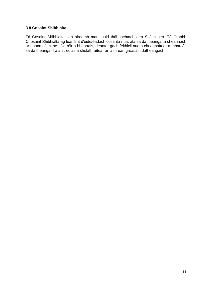#### **3.8 Cosaint Shibhialta**

Tá Cosaint Shibhialta san áireamh mar chuid thábhachtach den Scéim seo. Tá Craobh Chosaint Shibhialta ag leanúint d'éide/éadach cosanta nua, atá sa dá theanga, a cheannach ar bhonn céimithe. De réir a bheartais, déantar gach feithicil nua a cheannaítear a mharcáil sa dá theanga. Tá an t-eolas a sholáthraítear ar láithreán gréasáin dátheangach.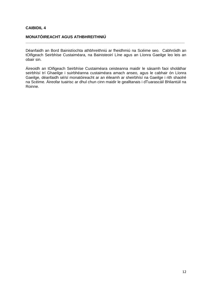#### **MONATÓIREACHT AGUS ATHBHREITHNIÚ**

Déanfaidh an Bord Bainistíochta athbhreithniú ar fheidhmiú na Scéime seo. Cabhróidh an tOifigeach Seirbhíse Custaiméara, na Bainisteoirí Líne agus an Líonra Gaeilge leo leis an obair sin.

**\_\_\_\_\_\_\_\_\_\_\_\_\_\_\_\_\_\_\_\_\_\_\_\_\_\_\_\_\_\_\_\_\_\_\_\_\_\_\_\_\_\_\_\_\_\_\_\_\_\_\_\_\_\_\_\_\_\_\_\_\_\_\_\_\_\_\_\_\_\_\_\_\_**

Áireoidh an tOifigeach Seirbhíse Custaiméara ceisteanna maidir le sásamh faoi sholáthar seirbhísí trí Ghaeilge i suirbhéanna custaiméara amach anseo, agus le cabhair ón Líonra Gaeilge, déanfaidh sé/sí monatóireacht ar an éileamh ar sheirbhísí na Gaeilge i rith shaolré na Scéime. Áireofar tuairisc ar dhul chun cinn maidir le gealltanais i dTuarascáil Bhliantúil na Roinne.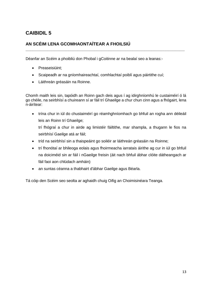# **AN SCÉIM LENA GCOMHAONTAÍTEAR A FHOILSIÚ**

Déanfar an Scéim a phoibliú don Phobal i gCoitinne ar na bealaí seo a leanas:-

- Preaseisiúint;
- Scaipeadh ar na gníomhaireachtaí, comhlachtaí poiblí agus páirtithe cuí;
- Láithreán gréasáin na Roinne.

Chomh maith leis sin, tapóidh an Roinn gach deis agus í ag idirghníomhú le custaiméirí ó lá go chéile, na seirbhísí a chuireann sí ar fáil trí Ghaeilge a chur chun cinn agus a fhógairt, lena n-áirítear:

**\_\_\_\_\_\_\_\_\_\_\_\_\_\_\_\_\_\_\_\_\_\_\_\_\_\_\_\_\_\_\_\_\_\_\_\_\_\_\_\_\_\_\_\_\_\_\_\_\_\_\_\_\_\_\_\_\_\_\_\_\_\_\_\_\_\_\_**

 trína chur in iúl do chustaiméirí go réamhghníomhach go bhfuil an rogha ann déileáil leis an Roinn trí Ghaeilge;

trí fhógraí a chur in airde ag limistéir fáiltithe, mar shampla, a thugann le fios na seirbhísí Gaeilge atá ar fáil;

- tríd na seirbhísí sin a thaispeáint go soiléir ar láithreán gréasáin na Roinne;
- trí fhonótaí ar bhileoga eolais agus fhoirmeacha iarratais áirithe ag cur in iúl go bhfuil na doiciméid sin ar fáil i nGaeilge freisin (áit nach bhfuil ábhar clóite dátheangach ar fáil faoi aon chlúdach amháin)
- an suntas céanna a thabhairt d'ábhar Gaeilge agus Béarla.

Tá cóip den Scéim seo seolta ar aghaidh chuig Oifig an Choimisinéara Teanga.